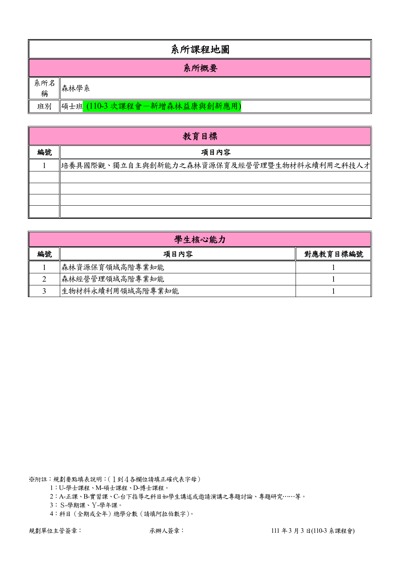|          | 系所課程地圖                       |  |  |  |  |  |  |  |  |
|----------|------------------------------|--|--|--|--|--|--|--|--|
|          | 系所概要                         |  |  |  |  |  |  |  |  |
| 系所名<br>稱 | 森林學系                         |  |  |  |  |  |  |  |  |
| 班別       | 碩士班 (110-3 次課程會-新增森林益康與創新應用) |  |  |  |  |  |  |  |  |

|    | 教育目標                                       |  |  |  |  |  |  |  |  |  |  |
|----|--------------------------------------------|--|--|--|--|--|--|--|--|--|--|
| 編號 | 項目內容                                       |  |  |  |  |  |  |  |  |  |  |
|    | 培養具國際觀、獨立自主與創新能力之森林資源保育及經營管理暨生物材料永續利用之科技人才 |  |  |  |  |  |  |  |  |  |  |
|    |                                            |  |  |  |  |  |  |  |  |  |  |
|    |                                            |  |  |  |  |  |  |  |  |  |  |
|    |                                            |  |  |  |  |  |  |  |  |  |  |
|    |                                            |  |  |  |  |  |  |  |  |  |  |

|    | 學生核心能力           |          |  |  |  |  |  |  |  |  |
|----|------------------|----------|--|--|--|--|--|--|--|--|
| 編號 | 項目內容             | 對應教育目標編號 |  |  |  |  |  |  |  |  |
|    | 森林資源保育領域高階專業知能   |          |  |  |  |  |  |  |  |  |
|    | 森林經營管理領域高階專業知能   |          |  |  |  |  |  |  |  |  |
|    | 生物材料永續利用領域高階專業知能 |          |  |  |  |  |  |  |  |  |

1:U-學士課程、M-碩士課程、D-博士課程。

2:A-正課、B-實習課、C-台下指導之科目如學生講述或邀請演講之專題討論、專題研究……等。

3:S-學期課、Y-學年課。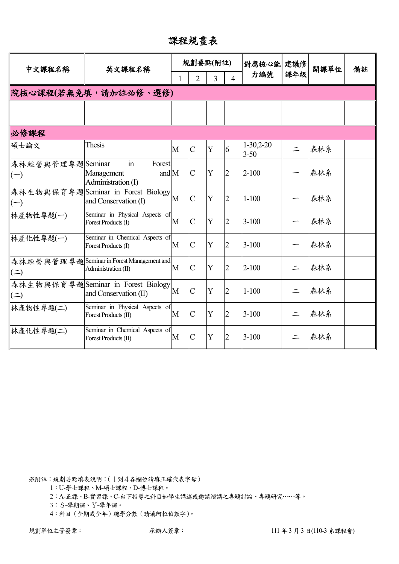課程規畫表

| 中文課程名稱                    | 英文課程名稱                                                                       |   |                | 規劃要點(附註) |                | 對應核心能 建議修               |          | 開課單位 | 備註 |
|---------------------------|------------------------------------------------------------------------------|---|----------------|----------|----------------|-------------------------|----------|------|----|
|                           |                                                                              |   | $\overline{2}$ | 3        | $\Delta$       | 力編號                     | 課年級      |      |    |
|                           | 院核心課程(若無免填,請加註必修、選修)                                                         |   |                |          |                |                         |          |      |    |
|                           |                                                                              |   |                |          |                |                         |          |      |    |
|                           |                                                                              |   |                |          |                |                         |          |      |    |
| 必修課程                      |                                                                              |   |                |          |                |                         |          |      |    |
| 碩士論文                      | Thesis                                                                       | M | $\mathcal{C}$  | Y        | 6              | $1-30,2-20$<br>$3 - 50$ | $\equiv$ | 森林系  |    |
| 森林經營與管理專題Seminar<br>$(-)$ | $\operatorname{in}$<br>Forest<br>and $M$<br>Management<br>Administration (I) |   | $\mathcal{C}$  | Y        | $\overline{2}$ | $2 - 100$               |          | 森林系  |    |
| $(-)$                     | 森林生物與保育專題Seminar in Forest Biology<br>and Conservation (I)                   | M | $\overline{C}$ | Y        | $\overline{2}$ | $1 - 100$               |          | 森林系  |    |
| 林產物性專題(一)                 | Seminar in Physical Aspects of<br>Forest Products (I)                        | M | $\mathbf C$    | Y        | $\overline{2}$ | $3 - 100$               |          | 森林系  |    |
| 林產化性專題(一)                 | Seminar in Chemical Aspects of<br>Forest Products (I)                        | M | $\overline{C}$ | Y        | $\overline{2}$ | $3 - 100$               |          | 森林系  |    |
| $($ $\Rightarrow$         | 森林經營與管理專題Seminar in Forest Management and<br>Administration (II)             | M | $\mathbf C$    | Y        | $\overline{2}$ | $2 - 100$               | $\equiv$ | 森林系  |    |
| $($ = $)$                 | 森林生物與保育專題Seminar in Forest Biology<br>and Conservation (II)                  | M | $\overline{C}$ | Y        | $\overline{2}$ | $1 - 100$               | $\equiv$ | 森林系  |    |
| 林產物性專題(二)                 | Seminar in Physical Aspects of<br>Forest Products (II)                       | M | $\overline{C}$ | Y        | $\overline{2}$ | $3 - 100$               | $\equiv$ | 森林系  |    |
| 林產化性專題(二)                 | Seminar in Chemical Aspects of<br>Forest Products (II)                       | M | $\overline{C}$ | Y        | $\overline{2}$ | $3 - 100$               |          | 森林系  |    |

1:U-學士課程、M-碩士課程、D-博士課程。

2:A-正課、B-實習課、C-台下指導之科目如學生講述或邀請演講之專題討論、專題研究……等。

3:S-學期課、Y-學年課。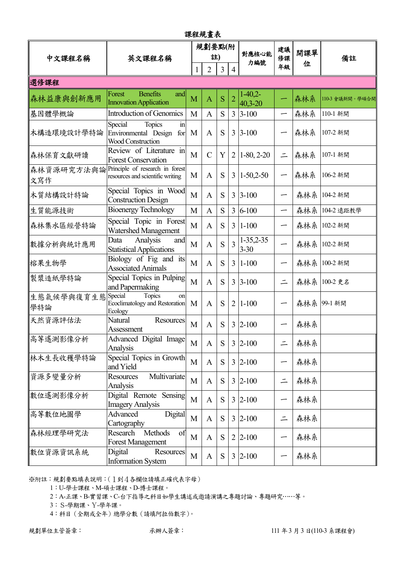| 課程規畫表             |                                                                                     |   |               |   |                |                          |                          |     |                 |  |
|-------------------|-------------------------------------------------------------------------------------|---|---------------|---|----------------|--------------------------|--------------------------|-----|-----------------|--|
| 中文課程名稱            | 英文課程名稱                                                                              |   | 規劃要點(附<br>註)  |   |                | 對應核心能                    | 建議<br>修課                 | 開課單 | 備註              |  |
|                   |                                                                                     |   | 2             | 3 | $\overline{4}$ | 力編號                      | 年級                       | 位   |                 |  |
| 選修課程              |                                                                                     |   |               |   |                |                          |                          |     |                 |  |
| 森林益康與創新應用         | <b>Benefits</b><br>Forest<br>and<br><b>Innovation Application</b>                   | M | $\mathbf{A}$  | S | $\overline{2}$ | $1-40,2-$<br>$40,3 - 20$ |                          | 森林系 | 110-3 會議新開。學碩合開 |  |
| 基因體學概論            | <b>Introduction of Genomics</b>                                                     | M | $\mathbf{A}$  | S | $\overline{3}$ | $3 - 100$                |                          | 森林系 | 110-1 新開        |  |
| 木構造環境設計學特論        | Special<br>Topics<br>$\mathbf{in}$<br>Environmental Design for<br>Wood Construction | M | A             | S | 3              | $3 - 100$                |                          | 森林系 | 107-2 新開        |  |
| 森林保育文獻研讀          | Review of Literature in<br><b>Forest Conservation</b>                               | M | $\mathcal{C}$ | Y | 2              | $1-80, 2-20$             | $\equiv$                 | 森林系 | 107-1 新開        |  |
| 森林資源研究方法與論<br>文寫作 | Principle of research in forest<br>resources and scientific writing                 | M | $\mathbf{A}$  | S | 3              | $1-50,2-50$              | $\overline{\phantom{0}}$ | 森林系 | 106-2 新開        |  |
| 木質結構設計特論          | Special Topics in Wood<br><b>Construction Design</b>                                | M | A             | S | 3              | $3 - 100$                |                          | 森林系 | 104-2 新開        |  |
| 生質能源技術            | <b>Bioenergy Technology</b>                                                         | M | $\mathbf{A}$  | S | $\overline{3}$ | $6 - 100$                |                          | 森林系 | 104-2 遠距教學      |  |
| 森林集水區經營特論         | Special Topic in Forest<br><b>Watershed Management</b>                              | M | A             | S | 3              | $1 - 100$                |                          | 森林系 | 102-2 新開        |  |
| 數據分析與統計應用         | Data<br>Analysis<br>and<br><b>Statistical Applications</b>                          | M | A             | S | $\overline{3}$ | $1-35,2-35$<br>$3 - 30$  |                          | 森林系 | 102-2 新開        |  |
| 榕果生物學             | Biology of Fig and its<br><b>Associated Animals</b>                                 | M | A             | S | $\overline{3}$ | $1 - 100$                |                          | 森林系 | 100-2 新開        |  |
| 製漿造紙學特論           | Special Topics in Pulping<br>and Papermaking                                        | M | A             | S | 3              | $3 - 100$                |                          |     | 森林系 100-2 更名    |  |
| 生態氣候學與復育生態<br>學特論 | Special<br>Topics<br>on<br>Ecoclimatology and Restoration<br>Ecology                | M | A             | S | $\overline{2}$ | $1 - 100$                |                          | 森林系 | 99-1 新開         |  |
| 天然資源評估法           | Resources<br><b>Natural</b><br>Assessment                                           | M | A             | S | 3              | $2 - 100$                |                          | 森林系 |                 |  |
| 高等遙測影像分析          | Advanced Digital Image<br>Analysis                                                  | M | $\mathbf{A}$  | S |                | $3 2-100$                | $\equiv$                 | 森林系 |                 |  |
| 林木生長收穫學特論         | Special Topics in Growth<br>and Yield                                               | M | A             | S |                | $3 2-100$                |                          | 森林系 |                 |  |
| 資源多變量分析           | Multivariate<br><b>Resources</b><br>Analysis                                        | M | A             | S |                | $3 2-100$                | $\equiv$                 | 森林系 |                 |  |
| 數位遙測影像分析          | Digital Remote Sensing<br><b>Imagery Analysis</b>                                   | M | $\mathbf{A}$  | S |                | $3 \,  2 - 100$          |                          | 森林系 |                 |  |
| 高等數位地圖學           | Digital<br>Advanced<br>Cartography                                                  | M | A             | S | 3              | $2 - 100$                | $\equiv$                 | 森林系 |                 |  |
| 森林經理學研究法          | Methods<br>Research<br>of<br><b>Forest Management</b>                               | M | A             | S | 2              | $2 - 100$                | -                        | 森林系 |                 |  |
| 數位資源資訊系統          | Digital<br>Resources<br><b>Information System</b>                                   | M | A             | S |                | $3 2-100$                |                          | 森林系 |                 |  |

1:U-學士課程、M-碩士課程、D-博士課程。

2:A-正課、B-實習課、C-台下指導之科目如學生講述或邀請演講之專題討論、專題研究……等。

3:S-學期課、Y-學年課。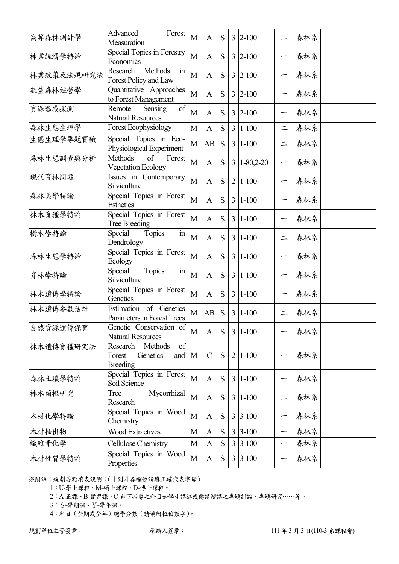| 高等森林測計學    | Advanced<br>Forest<br>Measuration                                          | M | $\mathbf{A}$  | S         |                | $3 2-100$        | $\equiv$ | 森林系 |  |
|------------|----------------------------------------------------------------------------|---|---------------|-----------|----------------|------------------|----------|-----|--|
| 林業經濟學特論    | Special Topics in Forestry<br>Economics                                    | M | A             | S         |                | $3 2-100$        |          | 森林系 |  |
| 林業政策及法規研究法 | <b>Methods</b><br>Research<br>$\operatorname{in}$<br>Forest Policy and Law | M | A             | S         | 3              | $2 - 100$        |          | 森林系 |  |
| 數量森林經營學    | Quantitative Approaches<br>to Forest Management                            | M | A             | S         |                | $3 2-100$        |          | 森林系 |  |
| 資源遙感探測     | Remote<br>of<br>Sensing<br><b>Natural Resources</b>                        | M | A             | S         | 3              | $2 - 100$        |          | 森林系 |  |
| 森林生態生理學    | <b>Forest Ecophysiology</b>                                                | M | $\mathbf{A}$  | S         | 3              | $1 - 100$        | $\equiv$ | 森林系 |  |
| 生態生理學專題實驗  | Special Topics in Eco-<br>Physiological Experiment                         | M | AB            | S         | 3              | $1 - 100$        |          | 森林系 |  |
| 森林生態調查與分析  | <b>Methods</b><br>of<br>Forest<br><b>Vegetation Ecology</b>                | M | A             | S         | $\overline{3}$ | $1 - 80,2 - 20$  |          | 森林系 |  |
| 現代育林問題     | Issues in Contemporary<br>Silviculture                                     | M | A             | S         | $\overline{2}$ | $ 1-100$         |          | 森林系 |  |
| 森林美學特論     | Special Topics in Forest<br><b>Esthetics</b>                               | M | $\mathbf{A}$  | S         | 3              | $1 - 100$        |          | 森林系 |  |
| 林木育種學特論    | Special Topics in Forest<br>Tree Breeding                                  | M | A             | S         | $\overline{3}$ | $ 1-100$         |          | 森林系 |  |
| 樹木學特論      | Topics<br>Special<br>$\operatorname{in}$<br>Dendrology                     | M | A             | S         | $\overline{3}$ | $1 - 100$        | $\equiv$ | 森林系 |  |
| 森林生態學特論    | Special Topics in Forest<br>Ecology                                        | M | A             | S         | 3              | $1 - 100$        |          | 森林系 |  |
| 育林學特論      | $\overline{m}$<br>Special<br>Topics<br>Silviculture                        | M | A             | S         | $\overline{3}$ | $ 1-100$         |          | 森林系 |  |
| 林木遺傳學特論    | Special Topics in Forest<br>Genetics                                       | M | A             | S         | $\overline{3}$ | $1 - 100$        |          | 森林系 |  |
| 林木遺傳參數估計   | Estimation of Genetics<br>Parameters in Forest Trees                       | M | AB            | S         | 3              | $1 - 100$        |          | 森林系 |  |
| 自然資源遺傳保育   | Genetic Conservation of<br><b>Natural Resources</b>                        | M | $\mathbf{A}$  | S         |                | $3 1-100$        |          | 森林系 |  |
| 林木遺傳育種研究法  | Methods<br>Research<br>of<br>Genetics<br>Forest<br>and<br><b>Breeding</b>  | M | $\mathcal{C}$ | S         | $\overline{2}$ | $ 1-100$         |          | 森林系 |  |
| 森林土壤學特論    | Special Topics in Forest<br>Soil Science                                   | M | A             | S         | $\overline{3}$ | $ 1-100$         |          | 森林系 |  |
| 林木菌根研究     | Mycorrhizal<br>Tree<br>Research                                            | M | $\mathbf{A}$  | S         |                | $3 1-100$        |          | 森林系 |  |
| 木材化學特論     | Special Topics in Wood<br>Chemistry                                        | M | $\mathbf{A}$  | S         |                | $3 3-100$        |          | 森林系 |  |
| 木材抽出物      | <b>Wood Extractives</b>                                                    | M | A             | S         |                | $3 \,   3 - 100$ |          | 森林系 |  |
| 纖維素化學      | Cellulose Chemistry                                                        | M | $\mathbf{A}$  | ${\bf S}$ | $\overline{3}$ | $3-100$          | —        | 森林系 |  |
| 木材性質學特論    | Special Topics in Wood<br>Properties                                       | M | A             | S         |                | $3 3-100$        |          | 森林系 |  |
|            |                                                                            |   |               |           |                |                  |          |     |  |

1:U-學士課程、M-碩士課程、D-博士課程。

2:A-正課、B-實習課、C-台下指導之科目如學生講述或邀請演講之專題討論、專題研究……等。

3:S-學期課、Y-學年課。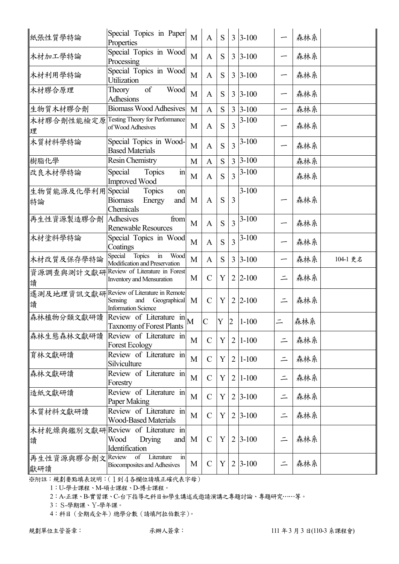| 紙張性質學特論                 | Special Topics in Paper<br>Properties                                                          | M | $\mathbf{A}$  | S |                | $3 \, 3 - 100$ |          | 森林系 |          |
|-------------------------|------------------------------------------------------------------------------------------------|---|---------------|---|----------------|----------------|----------|-----|----------|
| 木材加工學特論                 | Special Topics in Wood<br>Processing                                                           | M | A             | S |                | $3 \, 3 - 100$ |          | 森林系 |          |
| 木材利用學特論                 | Special Topics in Wood<br>Utilization                                                          | M | $\mathbf{A}$  | S |                | $3 \, 3 - 100$ |          | 森林系 |          |
| 木材膠合原理                  | of<br>Wood<br>Theory<br><b>Adhesions</b>                                                       | M | A             | S |                | $3 \, 3 - 100$ |          | 森林系 |          |
| 生物質木材膠合劑                | <b>Biomass Wood Adhesives</b>                                                                  | M | $\mathbf{A}$  | S | $\overline{3}$ | $3 - 100$      |          | 森林系 |          |
| 木材膠合劑性能檢定原<br>理         | Testing Theory for Performance<br>of Wood Adhesives                                            | M | $\mathbf{A}$  | S | 3              | $3-100$        |          | 森林系 |          |
| 木質材料學特論                 | Special Topics in Wood-<br><b>Based Materials</b>                                              | M | A             | S | $\overline{3}$ | $3-100$        |          | 森林系 |          |
| 樹脂化學                    | <b>Resin Chemistry</b>                                                                         | M | A             | S | $\overline{3}$ | $3 - 100$      |          | 森林系 |          |
| 改良木材學特論                 | $\sin$<br>Special<br>Topics<br><b>Improved Wood</b>                                            | M | $\mathbf{A}$  | S | 3              | $3 - 100$      |          | 森林系 |          |
| 生物質能源及化學利用Special<br>特論 | <b>Topics</b><br>on<br><b>Biomass</b><br>Energy<br>and<br>Chemicals                            | M | A             | S | 3              | $3-100$        |          | 森林系 |          |
| 再生性資源製造膠合劑              | from<br>Adhesives<br><b>Renewable Resources</b>                                                | M | A             | S | 3              | $3-100$        |          | 森林系 |          |
| 木材塗料學特論                 | Special Topics in Wood<br>Coatings                                                             | M | A             | S | $\overline{3}$ | $3-100$        |          | 森林系 |          |
| 木材改質及保存學特論              | Topics<br>Wood<br>Special<br>$\mathbf{m}$<br>Modification and Preservation                     | M | $\mathbf{A}$  | S |                | $3 \, 3 - 100$ |          | 森林系 | 104-1 更名 |
| 資源調查與測計文獻研<br>讀         | Review of Literature in Forest<br>Inventory and Mensuration                                    | M | $\mathcal{C}$ | Y |                | $2 2-100$      |          | 森林系 |          |
| 遙測及地理資訊文獻研<br>讀         | Review of Literature in Remote<br>Sensing<br>and<br>Geographical<br><b>Information Science</b> | M | $\mathcal{C}$ | Y | $\overline{2}$ | $ 2 - 100$     |          | 森林系 |          |
| 森林植物分類文獻研讀              | Review of Literature $in \sim M$<br><b>Taxnomy of Forest Plants</b>                            |   | $\mathcal{C}$ | Y | $\overline{2}$ | $ 1-100$       |          | 森林系 |          |
| 森林生態森林文獻研讀              | Review of Literature in<br><b>Forest Ecology</b>                                               | M | $\mathcal{C}$ | Y |                | $2 1-100$      |          | 森林系 |          |
| 育林文獻研讀                  | Review of Literature in<br>Silviculture                                                        | M | $\mathcal{C}$ | Y |                | $2 1-100$      | $\equiv$ | 森林系 |          |
| 森林文獻研讀                  | Review of Literature in<br>Forestry                                                            | M | $\mathcal{C}$ | Y |                | $2 1-100$      | $\equiv$ | 森林系 |          |
| 造紙文獻研讀                  | Review of Literature in<br>Paper Making                                                        | M | $\mathcal{C}$ | Y |                | $2 3-100$      |          | 森林系 |          |
| 木質材料文獻研讀                | Review of Literature in<br><b>Wood-Based Materials</b>                                         | M | $\mathcal{C}$ | Y |                | $2 3-100$      | $\equiv$ | 森林系 |          |
| 讀                       | 木材乾燥與鑑別文獻研  Review of Literature in <br>Wood<br>Drying<br>and<br>Identification                | M | $\mathcal{C}$ | Y |                | $2 3-100$      |          | 森林系 |          |
| 再生性資源與膠合劑文              | Review<br>of<br>Literature<br>in                                                               |   |               |   |                |                |          |     |          |

1:U-學士課程、M-碩士課程、D-博士課程。

2:A-正課、B-實習課、C-台下指導之科目如學生講述或邀請演講之專題討論、專題研究……等。

3:S-學期課、Y-學年課。